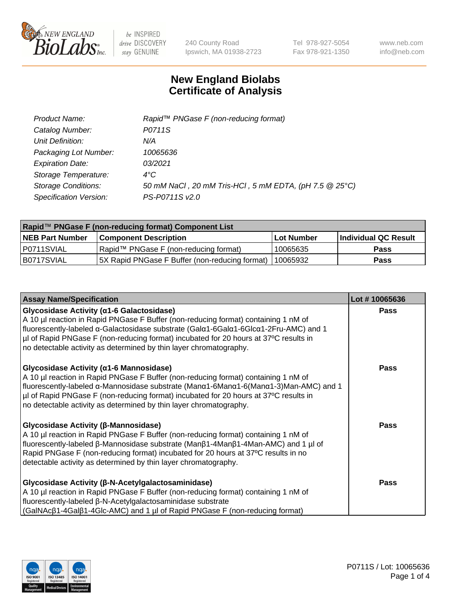

240 County Road Ipswich, MA 01938-2723 Tel 978-927-5054 Fax 978-921-1350 www.neb.com info@neb.com

## **New England Biolabs Certificate of Analysis**

| Product Name:              | Rapid™ PNGase F (non-reducing format)                  |
|----------------------------|--------------------------------------------------------|
| Catalog Number:            | P0711S                                                 |
| Unit Definition:           | N/A                                                    |
| Packaging Lot Number:      | 10065636                                               |
| <b>Expiration Date:</b>    | 03/2021                                                |
| Storage Temperature:       | $4^{\circ}$ C                                          |
| <b>Storage Conditions:</b> | 50 mM NaCl, 20 mM Tris-HCl, 5 mM EDTA, (pH 7.5 @ 25°C) |
| Specification Version:     | PS-P0711S v2.0                                         |

| Rapid™ PNGase F (non-reducing format) Component List |                                                         |                   |                      |  |
|------------------------------------------------------|---------------------------------------------------------|-------------------|----------------------|--|
| <b>NEB Part Number</b>                               | <b>Component Description</b>                            | <b>Lot Number</b> | Individual QC Result |  |
| P0711SVIAL                                           | Rapid™ PNGase F (non-reducing format)                   | 10065635          | <b>Pass</b>          |  |
| IB0717SVIAL                                          | 5X Rapid PNGase F Buffer (non-reducing format) 10065932 |                   | <b>Pass</b>          |  |

| <b>Assay Name/Specification</b>                                                                                                                                                                                                                                                                                                                                                                                               | Lot #10065636 |
|-------------------------------------------------------------------------------------------------------------------------------------------------------------------------------------------------------------------------------------------------------------------------------------------------------------------------------------------------------------------------------------------------------------------------------|---------------|
| <b>Glycosidase Activity (α1-6 Galactosidase)</b><br>A 10 µl reaction in Rapid PNGase F Buffer (non-reducing format) containing 1 nM of<br>fluorescently-labeled α-Galactosidase substrate (Galα1-6Galα1-6Glcα1-2Fru-AMC) and 1<br>µI of Rapid PNGase F (non-reducing format) incubated for 20 hours at 37°C results in<br>no detectable activity as determined by thin layer chromatography.                                  | <b>Pass</b>   |
| <b>Glycosidase Activity (α1-6 Mannosidase)</b><br>A 10 µl reaction in Rapid PNGase F Buffer (non-reducing format) containing 1 nM of<br>fluorescently-labeled $\alpha$ -Mannosidase substrate (Man $\alpha$ 1-6Man $\alpha$ 1-6(Man $\alpha$ 1-3)Man-AMC) and 1<br>µI of Rapid PNGase F (non-reducing format) incubated for 20 hours at 37°C results in<br>no detectable activity as determined by thin layer chromatography. | Pass          |
| <b>Glycosidase Activity (β-Mannosidase)</b><br>A 10 µl reaction in Rapid PNGase F Buffer (non-reducing format) containing 1 nM of<br>fluorescently-labeled β-Mannosidase substrate (Manβ1-4Manβ1-4Man-AMC) and 1 µl of<br>Rapid PNGase F (non-reducing format) incubated for 20 hours at 37°C results in no<br>detectable activity as determined by thin layer chromatography.                                                | <b>Pass</b>   |
| Glycosidase Activity (β-N-Acetylgalactosaminidase)<br>A 10 µl reaction in Rapid PNGase F Buffer (non-reducing format) containing 1 nM of<br>fluorescently-labeled β-N-Acetylgalactosaminidase substrate<br>$(GaINAc\beta1-AGa\beta1-AGlc-AMC)$ and 1 µl of Rapid PNGase F (non-reducing format)                                                                                                                               | Pass          |

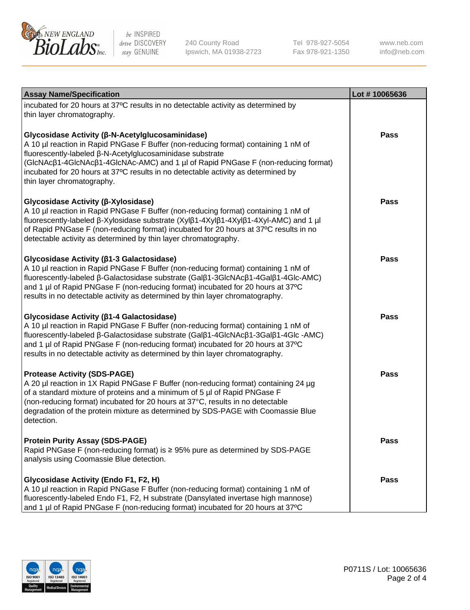

240 County Road Ipswich, MA 01938-2723 Tel 978-927-5054 Fax 978-921-1350

www.neb.com info@neb.com

| <b>Assay Name/Specification</b>                                                                                                                                                                                                                                                                                                                                                                             | Lot #10065636 |
|-------------------------------------------------------------------------------------------------------------------------------------------------------------------------------------------------------------------------------------------------------------------------------------------------------------------------------------------------------------------------------------------------------------|---------------|
| incubated for 20 hours at 37°C results in no detectable activity as determined by<br>thin layer chromatography.                                                                                                                                                                                                                                                                                             |               |
| Glycosidase Activity (β-N-Acetylglucosaminidase)<br>A 10 µl reaction in Rapid PNGase F Buffer (non-reducing format) containing 1 nM of<br>fluorescently-labeled β-N-Acetylglucosaminidase substrate<br>(GlcNAcβ1-4GlcNAcβ1-4GlcNAc-AMC) and 1 µl of Rapid PNGase F (non-reducing format)<br>incubated for 20 hours at 37°C results in no detectable activity as determined by<br>thin layer chromatography. | Pass          |
| Glycosidase Activity (β-Xylosidase)<br>A 10 µl reaction in Rapid PNGase F Buffer (non-reducing format) containing 1 nM of<br>fluorescently-labeled β-Xylosidase substrate (Xylβ1-4Xylβ1-4Xylβ1-4Xyl-AMC) and 1 µl<br>of Rapid PNGase F (non-reducing format) incubated for 20 hours at 37°C results in no<br>detectable activity as determined by thin layer chromatography.                                | Pass          |
| Glycosidase Activity (β1-3 Galactosidase)<br>A 10 µl reaction in Rapid PNGase F Buffer (non-reducing format) containing 1 nM of<br>fluorescently-labeled β-Galactosidase substrate (Galβ1-3GlcNAcβ1-4Galβ1-4Glc-AMC)<br>and 1 µl of Rapid PNGase F (non-reducing format) incubated for 20 hours at 37°C<br>results in no detectable activity as determined by thin layer chromatography.                    | Pass          |
| Glycosidase Activity (β1-4 Galactosidase)<br>A 10 µl reaction in Rapid PNGase F Buffer (non-reducing format) containing 1 nM of<br>fluorescently-labeled β-Galactosidase substrate (Galβ1-4GlcNAcβ1-3Galβ1-4Glc -AMC)<br>and 1 µl of Rapid PNGase F (non-reducing format) incubated for 20 hours at 37°C<br>results in no detectable activity as determined by thin layer chromatography.                   | Pass          |
| <b>Protease Activity (SDS-PAGE)</b><br>A 20 µl reaction in 1X Rapid PNGase F Buffer (non-reducing format) containing 24 µg<br>of a standard mixture of proteins and a minimum of 5 µl of Rapid PNGase F<br>(non-reducing format) incubated for 20 hours at 37°C, results in no detectable<br>degradation of the protein mixture as determined by SDS-PAGE with Coomassie Blue<br>detection.                 | Pass          |
| <b>Protein Purity Assay (SDS-PAGE)</b><br>Rapid PNGase F (non-reducing format) is ≥ 95% pure as determined by SDS-PAGE<br>analysis using Coomassie Blue detection.                                                                                                                                                                                                                                          | <b>Pass</b>   |
| Glycosidase Activity (Endo F1, F2, H)<br>A 10 µl reaction in Rapid PNGase F Buffer (non-reducing format) containing 1 nM of<br>fluorescently-labeled Endo F1, F2, H substrate (Dansylated invertase high mannose)<br>and 1 µl of Rapid PNGase F (non-reducing format) incubated for 20 hours at 37°C                                                                                                        | Pass          |

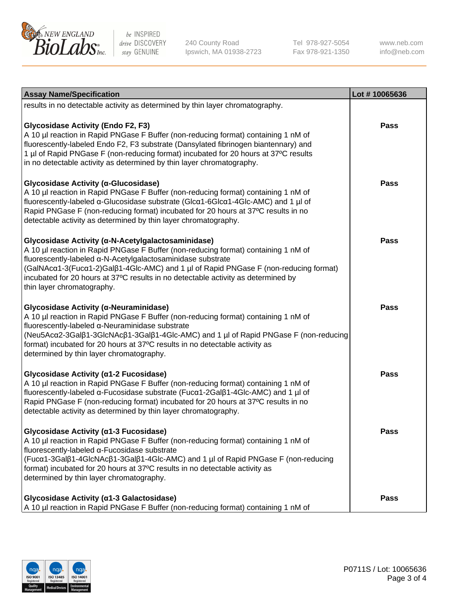

240 County Road Ipswich, MA 01938-2723 Tel 978-927-5054 Fax 978-921-1350

www.neb.com info@neb.com

| <b>Assay Name/Specification</b>                                                                                                                                                                                                                                                                                                                                                                                    | Lot #10065636 |
|--------------------------------------------------------------------------------------------------------------------------------------------------------------------------------------------------------------------------------------------------------------------------------------------------------------------------------------------------------------------------------------------------------------------|---------------|
| results in no detectable activity as determined by thin layer chromatography.                                                                                                                                                                                                                                                                                                                                      |               |
| <b>Glycosidase Activity (Endo F2, F3)</b><br>A 10 µl reaction in Rapid PNGase F Buffer (non-reducing format) containing 1 nM of<br>fluorescently-labeled Endo F2, F3 substrate (Dansylated fibrinogen biantennary) and<br>1 µl of Rapid PNGase F (non-reducing format) incubated for 20 hours at 37°C results<br>in no detectable activity as determined by thin layer chromatography.                             | <b>Pass</b>   |
| Glycosidase Activity (α-Glucosidase)<br>A 10 µl reaction in Rapid PNGase F Buffer (non-reducing format) containing 1 nM of<br>fluorescently-labeled α-Glucosidase substrate (Glcα1-6Glcα1-4Glc-AMC) and 1 µl of<br>Rapid PNGase F (non-reducing format) incubated for 20 hours at 37°C results in no<br>detectable activity as determined by thin layer chromatography.                                            | <b>Pass</b>   |
| Glycosidase Activity (α-N-Acetylgalactosaminidase)<br>A 10 µl reaction in Rapid PNGase F Buffer (non-reducing format) containing 1 nM of<br>fluorescently-labeled α-N-Acetylgalactosaminidase substrate<br>(GalNAcα1-3(Fucα1-2)Galß1-4Glc-AMC) and 1 µl of Rapid PNGase F (non-reducing format)<br>incubated for 20 hours at 37°C results in no detectable activity as determined by<br>thin layer chromatography. | Pass          |
| Glycosidase Activity (α-Neuraminidase)<br>A 10 µl reaction in Rapid PNGase F Buffer (non-reducing format) containing 1 nM of<br>fluorescently-labeled α-Neuraminidase substrate<br>(Neu5Acα2-3Galβ1-3GlcNAcβ1-3Galβ1-4Glc-AMC) and 1 µl of Rapid PNGase F (non-reducing<br>format) incubated for 20 hours at 37°C results in no detectable activity as<br>determined by thin layer chromatography.                 | <b>Pass</b>   |
| Glycosidase Activity (α1-2 Fucosidase)<br>A 10 µl reaction in Rapid PNGase F Buffer (non-reducing format) containing 1 nM of<br>fluorescently-labeled α-Fucosidase substrate (Fucα1-2Galβ1-4Glc-AMC) and 1 µl of<br>Rapid PNGase F (non-reducing format) incubated for 20 hours at 37°C results in no<br>detectable activity as determined by thin layer chromatography.                                           | <b>Pass</b>   |
| Glycosidase Activity (α1-3 Fucosidase)<br>A 10 µl reaction in Rapid PNGase F Buffer (non-reducing format) containing 1 nM of<br>fluorescently-labeled α-Fucosidase substrate<br>(Fucα1-3Galβ1-4GlcNAcβ1-3Galβ1-4Glc-AMC) and 1 µl of Rapid PNGase F (non-reducing<br>format) incubated for 20 hours at 37°C results in no detectable activity as<br>determined by thin layer chromatography.                       | <b>Pass</b>   |
| Glycosidase Activity (a1-3 Galactosidase)<br>A 10 µl reaction in Rapid PNGase F Buffer (non-reducing format) containing 1 nM of                                                                                                                                                                                                                                                                                    | Pass          |